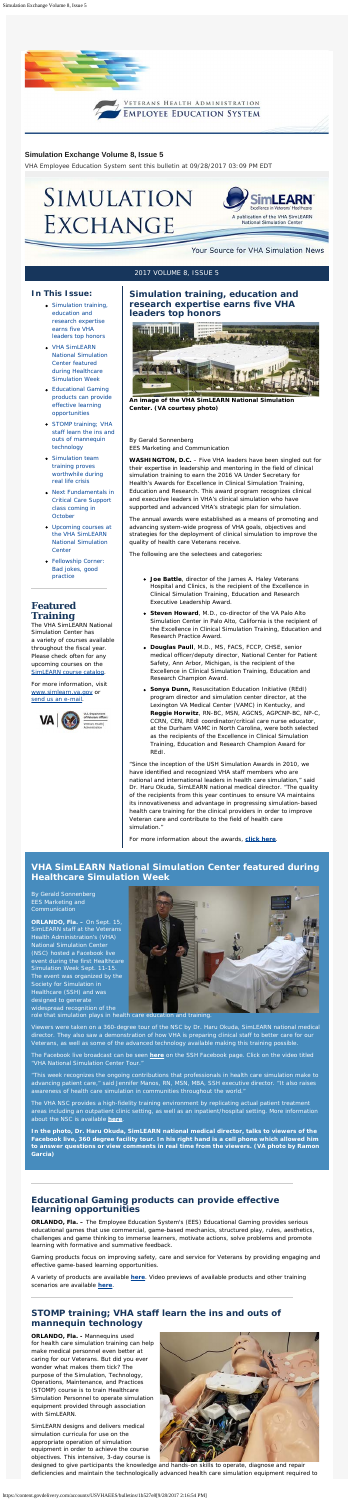

#### <span id="page-0-0"></span>**In This Issue:**

- [Simulation training,](#page-0-0) [education and](#page-0-0) [research expertise](#page-0-0) [earns five VHA](#page-0-0) [leaders top honors](#page-0-0)
- [VHA SimLEARN](#page-0-1) [National Simulation](#page-0-1) [Center featured](#page-0-1) [during Healthcare](#page-0-1) [Simulation Week](#page-0-1)
- [Educational Gaming](#page-0-2) [products can provide](#page-0-2) [effective learning](#page-0-2) [opportunities](#page-0-2)
- [STOMP training; VHA](#page-0-3) [staff learn the ins and](#page-0-3) [outs of mannequin](#page-0-3) [technology](#page-0-3)
- **[Simulation team](#page-1-0)** [training proves](#page-1-0) [worthwhile during](#page-1-0) [real life crisis](#page-1-0)
- [Next Fundamentals in](#page-1-1) [Critical Care Support](#page-1-1) [class coming in](#page-1-1) **[October](#page-1-1)**

For more information, visit [www.simlearn.va.gov](http://www.simlearn.va.gov/) or [send us an e-mail](mailto:VASimLEARNGeneralInformation@va.gov).



- [Upcoming courses at](#page-1-2) [the VHA SimLEARN](#page-1-2) [National Simulation](#page-1-2) **[Center](#page-1-2)**
- [Fellowship Corner:](#page-1-3) [Bad jokes, good](#page-1-3) [practice](#page-1-3)

# **Featured Training**

The VHA SimLEARN National Simulation Center has a variety of courses available throughout the fiscal year. Please check often for any upcoming courses on the [SimLEARN course catalog](https://myees.lrn.va.gov/SimLEARN/Class%20Registration/Course%20Catalog.aspx).

# **Simulation training, education and research expertise earns five VHA leaders top honors**



**An image of the VHA SimLEARN National Simulation Center. (VA courtesy photo)**

By Gerald Sonnenberg EES Marketing and Communication

**WASHINGTON, D.C.** – Five VHA leaders have been singled out for their expertise in leadership and mentoring in the field of clinical simulation training to earn the 2016 VA Under Secretary for Health's Awards for Excellence in Clinical Simulation Training, Education and Research. This award program recognizes clinical and executive leaders in VHA's clinical simulation who have supported and advanced VHA's strategic plan for simulation.

The annual awards were established as a means of promoting and

advancing system-wide progress of VHA goals, objectives and strategies for the deployment of clinical simulation to improve the quality of health care Veterans receive.

The following are the selectees and categories:

- **Joe Battle**, director of the James A. Haley Veterans Hospital and Clinics, is the recipient of the Excellence in Clinical Simulation Training, Education and Research Executive Leadership Award.
- **Steven Howard**, M.D., co-director of the VA Palo Alto Simulation Center in Palo Alto, California is the recipient of the Excellence in Clinical Simulation Training, Education and Research Practice Award.
- **Douglas Paull**, M.D., MS, FACS, FCCP, CHSE, senior medical officer/deputy director, National Center for Patient Safety, Ann Arbor, Michigan, is the recipient of the Excellence in Clinical Simulation Training, Education and Research Champion Award.
- **Sonya Dunn,** Resuscitation Education Initiative (REdI) program director and simulation center director, at the Lexington VA Medical Center (VAMC) in Kentucky, and **Reggie Horwitz**, RN-BC, MSN, AGCNS, AGPCNP-BC, NP-C, CCRN, CEN, REdI coordinator/critical care nurse educator, at the Durham VAMC in North Carolina, were both selected as the recipients of the Excellence in Clinical Simulation Training, Education and Research Champion Award for REdI.

"Since the inception of the USH Simulation Awards in 2010, we have identified and recognized VHA staff members who are national and international leaders in health care simulation," said Dr. Haru Okuda, SimLEARN national medical director. "The quality of the recipients from this year continues to ensure VA maintains its innovativeness and advantage in progressing simulation-based health care training for the clinical providers in order to improve Veteran care and contribute to the field of health care simulation."

For more information about the awards, **[click here](https://www.simlearn.va.gov/SIMLEARN/awards.asp)**.

#### **Simulation Exchange Volume 8, Issue 5**

*VHA Employee Education System sent this bulletin at 09/28/2017 03:09 PM EDT*

# SIMULATION EXCHANGE



#### Your Source for VHA Simulation News

#### 2017 VOLUME 8, ISSUE 5

## <span id="page-0-1"></span>**VHA SimLEARN National Simulation Center featured during Healthcare Simulation Week**

By Gerald Sonnenberg EES Marketing and Communication

**ORLANDO, Fla. –** On Sept. 15, SimLEARN staff at the Veterans Health Administration's (VHA) National Simulation Center (NSC) hosted a Facebook live event during the first Healthcare Simulation Week Sept. 11-15. The event was organized by the Society for Simulation in Healthcare (SSH) and was designed to generate widespread recognition of the



role that simulation plays in health care education and training.

Viewers were taken on a 360-degree tour of the NSC by Dr. Haru Okuda, SimLEARN national medical director. They also saw a demonstration of how VHA is preparing clinical staff to better care for our

Veterans, as well as some of the advanced technology available making this training possible.

The Facebook live broadcast can be seen **[here](https://www.facebook.com/pg/ssih.org/videos/?ref=page_internal)** on the SSH Facebook page. Click on the video titled "VHA National Simulation Center Tour."

"This week recognizes the ongoing contributions that professionals in health care simulation make to advancing patient care," said Jennifer Manos, RN, MSN, MBA, SSH executive director. "It also raises awareness of health care simulation in communities throughout the world."

The VHA NSC provides a high-fidelity training environment by replicating actual patient treatment areas including an outpatient clinic setting, as well as an inpatient/hospital setting. More information about the NSC is available **[here](https://www.simlearn.va.gov/SIMLEARN/about_us.asp)**.

**In the photo, Dr. Haru Okuda, SimLEARN national medical director, talks to viewers of the Facebook live, 360 degree facility tour. In his right hand is a cell phone which allowed him to answer questions or view comments in real time from the viewers. (VA photo by Ramon Garcia)**

## <span id="page-0-2"></span>**Educational Gaming products can provide effective learning opportunities**

**ORLANDO, Fla. –** The Employee Education System's (EES) Educational Gaming provides serious educational games that use commercial, game-based mechanics, structured play, rules, aesthetics, challenges and game thinking to immerse learners, motivate actions, solve problems and promote learning with formative and summative feedback.

Gaming products focus on improving safety, care and service for Veterans by providing engaging and effective game-based learning opportunities.

A variety of products are available **[here](https://myees.lrn.va.gov/SimLEARN/Gaming/default.aspx)**. Video previews of available products and other training scenarios are available **[here](https://myees.lrn.va.gov/Watch/SimTube.aspx)**.

# <span id="page-0-3"></span>**STOMP training; VHA staff learn the ins and outs of mannequin technology**

**ORLANDO, Fla. -** Mannequins used for health care simulation training can help make medical personnel even better at caring for our Veterans. But did you ever wonder what makes them tick? The purpose of the Simulation, Technology, Operations, Maintenance, and Practices (STOMP) course is to train Healthcare Simulation Personnel to operate simulation equipment provided through association with SimLEARN.

SimLEARN designs and delivers medical simulation curricula for use on the appropriate operation of simulation equipment in order to achieve the course objectives. This intensive, 3-day course is



designed to give participants the knowledge and hands-on skills to operate, diagnose and repair deficiencies and maintain the technologically advanced health care simulation equipment required to